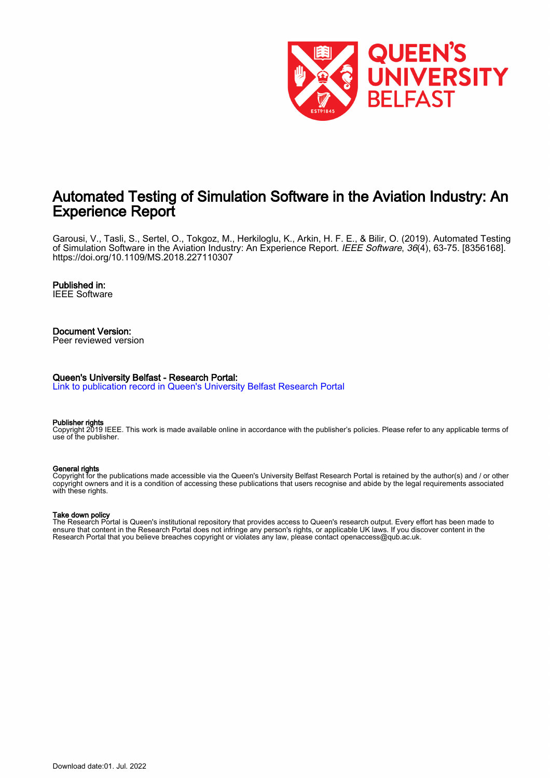

# Automated Testing of Simulation Software in the Aviation Industry: An Experience Report

Garousi, V., Tasli, S., Sertel, O., Tokgoz, M., Herkiloglu, K., Arkin, H. F. E., & Bilir, O. (2019). Automated Testing of Simulation Software in the Aviation Industry: An Experience Report. IEEE Software, 36(4), 63-75. [8356168]. <https://doi.org/10.1109/MS.2018.227110307>

### Published in:

IEEE Software

# Document Version:

Peer reviewed version

#### Queen's University Belfast - Research Portal:

[Link to publication record in Queen's University Belfast Research Portal](https://pure.qub.ac.uk/en/publications/f695f013-4ec4-4d4f-94a2-cfbc6c0fb5b7)

#### Publisher rights

Copyright 2019 IEEE. This work is made available online in accordance with the publisher's policies. Please refer to any applicable terms of use of the publisher.

#### General rights

Copyright for the publications made accessible via the Queen's University Belfast Research Portal is retained by the author(s) and / or other copyright owners and it is a condition of accessing these publications that users recognise and abide by the legal requirements associated with these rights.

#### Take down policy

The Research Portal is Queen's institutional repository that provides access to Queen's research output. Every effort has been made to ensure that content in the Research Portal does not infringe any person's rights, or applicable UK laws. If you discover content in the Research Portal that you believe breaches copyright or violates any law, please contact openaccess@qub.ac.uk.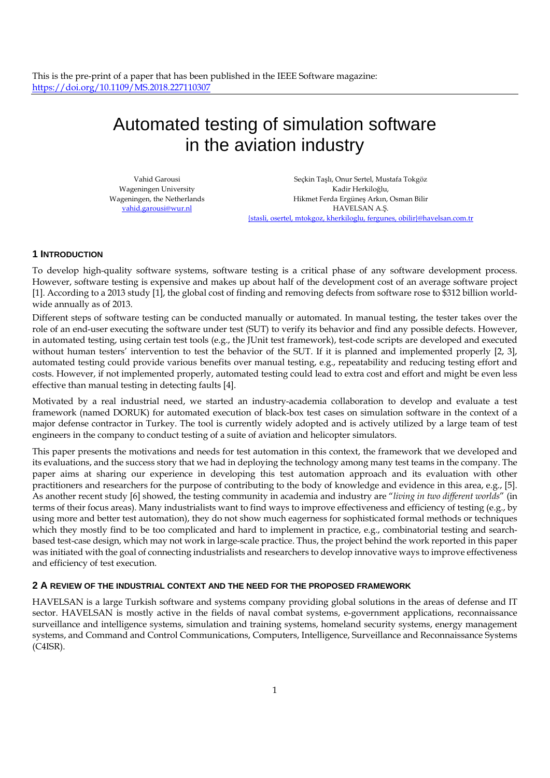# Automated testing of simulation software in the aviation industry

Vahid Garousi Wageningen University Wageningen, the Netherlands vahid.garousi@wur.nl

Seçkin Taşlı, Onur Sertel, Mustafa Tokgöz Kadir Herkiloğlu, Hikmet Ferda Ergüneş Arkın, Osman Bilir HAVELSAN A.Ş. {stasli, osertel, mtokgoz, kherkiloglu, fergunes, obilir}@havelsan.com.tr

# **1 INTRODUCTION**

To develop high-quality software systems, software testing is a critical phase of any software development process. However, software testing is expensive and makes up about half of the development cost of an average software project [1]. According to a 2013 study [1], the global cost of finding and removing defects from software rose to \$312 billion worldwide annually as of 2013.

Different steps of software testing can be conducted manually or automated. In manual testing, the tester takes over the role of an end-user executing the software under test (SUT) to verify its behavior and find any possible defects. However, in automated testing, using certain test tools (e.g., the JUnit test framework), test-code scripts are developed and executed without human testers' intervention to test the behavior of the SUT. If it is planned and implemented properly [2, 3], automated testing could provide various benefits over manual testing, e.g., repeatability and reducing testing effort and costs. However, if not implemented properly, automated testing could lead to extra cost and effort and might be even less effective than manual testing in detecting faults [4].

Motivated by a real industrial need, we started an industry-academia collaboration to develop and evaluate a test framework (named DORUK) for automated execution of black-box test cases on simulation software in the context of a major defense contractor in Turkey. The tool is currently widely adopted and is actively utilized by a large team of test engineers in the company to conduct testing of a suite of aviation and helicopter simulators.

This paper presents the motivations and needs for test automation in this context, the framework that we developed and its evaluations, and the success story that we had in deploying the technology among many test teams in the company. The paper aims at sharing our experience in developing this test automation approach and its evaluation with other practitioners and researchers for the purpose of contributing to the body of knowledge and evidence in this area, e.g., [5]. As another recent study [6] showed, the testing community in academia and industry are "*living in two different worlds*" (in terms of their focus areas). Many industrialists want to find ways to improve effectiveness and efficiency of testing (e.g., by using more and better test automation), they do not show much eagerness for sophisticated formal methods or techniques which they mostly find to be too complicated and hard to implement in practice, e.g., combinatorial testing and searchbased test-case design, which may not work in large-scale practice. Thus, the project behind the work reported in this paper was initiated with the goal of connecting industrialists and researchers to develop innovative ways to improve effectiveness and efficiency of test execution.

# **2 A REVIEW OF THE INDUSTRIAL CONTEXT AND THE NEED FOR THE PROPOSED FRAMEWORK**

HAVELSAN is a large Turkish software and systems company providing global solutions in the areas of defense and IT sector. HAVELSAN is mostly active in the fields of naval combat systems, e-government applications, reconnaissance surveillance and intelligence systems, simulation and training systems, homeland security systems, energy management systems, and Command and Control Communications, Computers, Intelligence, Surveillance and Reconnaissance Systems (C4ISR).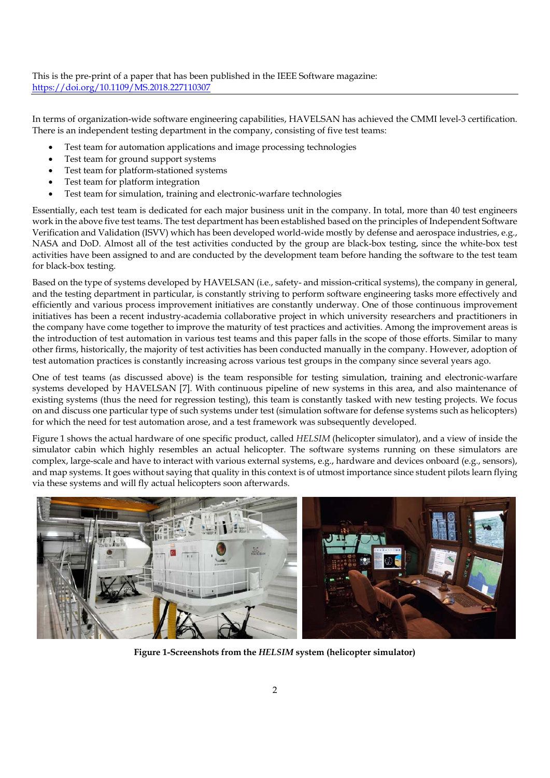In terms of organization-wide software engineering capabilities, HAVELSAN has achieved the CMMI level-3 certification. There is an independent testing department in the company, consisting of five test teams:

- Test team for automation applications and image processing technologies
- Test team for ground support systems
- Test team for platform-stationed systems
- Test team for platform integration
- Test team for simulation, training and electronic-warfare technologies

Essentially, each test team is dedicated for each major business unit in the company. In total, more than 40 test engineers work in the above five test teams. The test department has been established based on the principles of Independent Software Verification and Validation (ISVV) which has been developed world-wide mostly by defense and aerospace industries, e.g., NASA and DoD. Almost all of the test activities conducted by the group are black-box testing, since the white-box test activities have been assigned to and are conducted by the development team before handing the software to the test team for black-box testing.

Based on the type of systems developed by HAVELSAN (i.e., safety- and mission-critical systems), the company in general, and the testing department in particular, is constantly striving to perform software engineering tasks more effectively and efficiently and various process improvement initiatives are constantly underway. One of those continuous improvement initiatives has been a recent industry-academia collaborative project in which university researchers and practitioners in the company have come together to improve the maturity of test practices and activities. Among the improvement areas is the introduction of test automation in various test teams and this paper falls in the scope of those efforts. Similar to many other firms, historically, the majority of test activities has been conducted manually in the company. However, adoption of test automation practices is constantly increasing across various test groups in the company since several years ago.

One of test teams (as discussed above) is the team responsible for testing simulation, training and electronic-warfare systems developed by HAVELSAN [7]. With continuous pipeline of new systems in this area, and also maintenance of existing systems (thus the need for regression testing), this team is constantly tasked with new testing projects. We focus on and discuss one particular type of such systems under test (simulation software for defense systems such as helicopters) for which the need for test automation arose, and a test framework was subsequently developed.

Figure 1 shows the actual hardware of one specific product, called *HELSIM* (helicopter simulator), and a view of inside the simulator cabin which highly resembles an actual helicopter. The software systems running on these simulators are complex, large-scale and have to interact with various external systems, e.g., hardware and devices onboard (e.g., sensors), and map systems. It goes without saying that quality in this context is of utmost importance since student pilots learn flying via these systems and will fly actual helicopters soon afterwards.



**Figure 1-Screenshots from the** *HELSIM* **system (helicopter simulator)**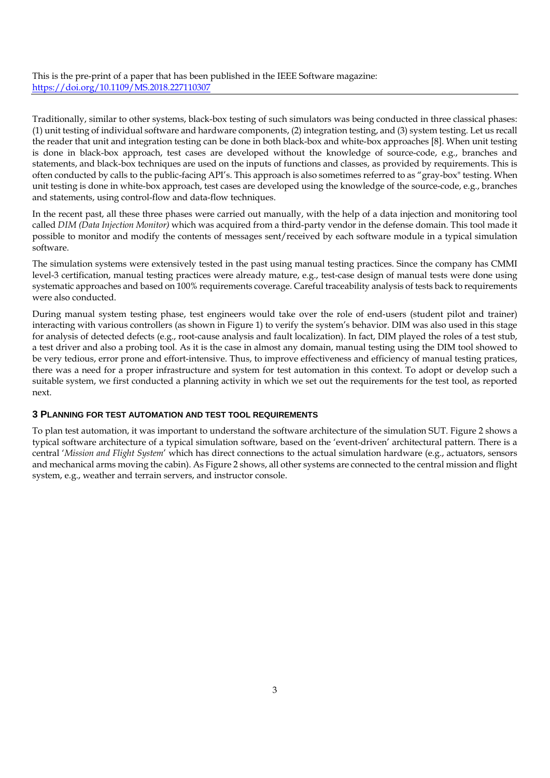Traditionally, similar to other systems, black-box testing of such simulators was being conducted in three classical phases: (1) unit testing of individual software and hardware components, (2) integration testing, and (3) system testing. Let us recall the reader that unit and integration testing can be done in both black-box and white-box approaches [8]. When unit testing is done in black-box approach, test cases are developed without the knowledge of source-code, e.g., branches and statements, and black-box techniques are used on the inputs of functions and classes, as provided by requirements. This is often conducted by calls to the public-facing API's. This approach is also sometimes referred to as "gray-box" testing. When unit testing is done in white-box approach, test cases are developed using the knowledge of the source-code, e.g., branches and statements, using control-flow and data-flow techniques.

In the recent past, all these three phases were carried out manually, with the help of a data injection and monitoring tool called *DIM (Data Injection Monitor)* which was acquired from a third-party vendor in the defense domain. This tool made it possible to monitor and modify the contents of messages sent/received by each software module in a typical simulation software.

The simulation systems were extensively tested in the past using manual testing practices. Since the company has CMMI level-3 certification, manual testing practices were already mature, e.g., test-case design of manual tests were done using systematic approaches and based on 100% requirements coverage. Careful traceability analysis of tests back to requirements were also conducted.

During manual system testing phase, test engineers would take over the role of end-users (student pilot and trainer) interacting with various controllers (as shown in Figure 1) to verify the system's behavior. DIM was also used in this stage for analysis of detected defects (e.g., root-cause analysis and fault localization). In fact, DIM played the roles of a test stub, a test driver and also a probing tool. As it is the case in almost any domain, manual testing using the DIM tool showed to be very tedious, error prone and effort-intensive. Thus, to improve effectiveness and efficiency of manual testing pratices, there was a need for a proper infrastructure and system for test automation in this context. To adopt or develop such a suitable system, we first conducted a planning activity in which we set out the requirements for the test tool, as reported next.

### **3 PLANNING FOR TEST AUTOMATION AND TEST TOOL REQUIREMENTS**

To plan test automation, it was important to understand the software architecture of the simulation SUT. Figure 2 shows a typical software architecture of a typical simulation software, based on the 'event-driven' architectural pattern. There is a central '*Mission and Flight System*' which has direct connections to the actual simulation hardware (e.g., actuators, sensors and mechanical arms moving the cabin). As Figure 2 shows, all other systems are connected to the central mission and flight system, e.g., weather and terrain servers, and instructor console.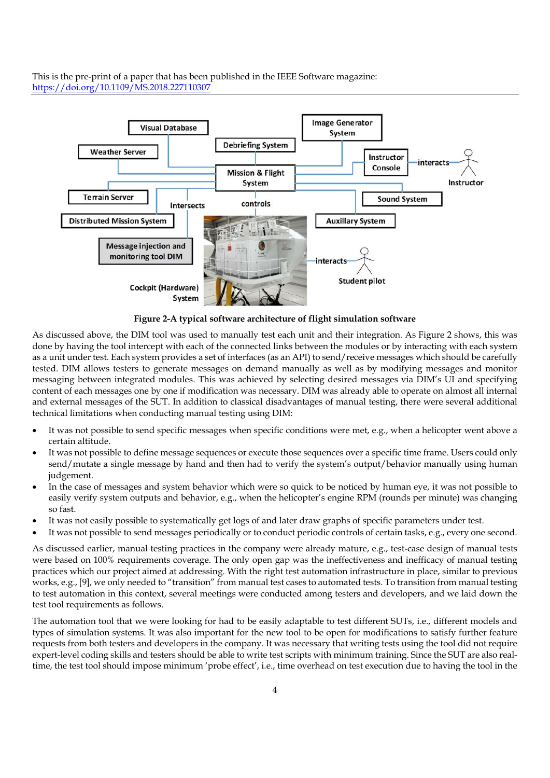

**Figure 2-A typical software architecture of flight simulation software** 

As discussed above, the DIM tool was used to manually test each unit and their integration. As Figure 2 shows, this was done by having the tool intercept with each of the connected links between the modules or by interacting with each system as a unit under test. Each system provides a set of interfaces (as an API) to send/receive messages which should be carefully tested. DIM allows testers to generate messages on demand manually as well as by modifying messages and monitor messaging between integrated modules. This was achieved by selecting desired messages via DIM's UI and specifying content of each messages one by one if modification was necessary. DIM was already able to operate on almost all internal and external messages of the SUT. In addition to classical disadvantages of manual testing, there were several additional technical limitations when conducting manual testing using DIM:

- It was not possible to send specific messages when specific conditions were met, e.g., when a helicopter went above a certain altitude.
- It was not possible to define message sequences or execute those sequences over a specific time frame. Users could only send/mutate a single message by hand and then had to verify the system's output/behavior manually using human judgement.
- In the case of messages and system behavior which were so quick to be noticed by human eye, it was not possible to easily verify system outputs and behavior, e.g., when the helicopter's engine RPM (rounds per minute) was changing so fast.
- It was not easily possible to systematically get logs of and later draw graphs of specific parameters under test.
- It was not possible to send messages periodically or to conduct periodic controls of certain tasks, e.g., every one second.

As discussed earlier, manual testing practices in the company were already mature, e.g., test-case design of manual tests were based on 100% requirements coverage. The only open gap was the ineffectiveness and inefficacy of manual testing practices which our project aimed at addressing. With the right test automation infrastructure in place, similar to previous works, e.g., [9], we only needed to "transition" from manual test cases to automated tests. To transition from manual testing to test automation in this context, several meetings were conducted among testers and developers, and we laid down the test tool requirements as follows.

The automation tool that we were looking for had to be easily adaptable to test different SUTs, i.e., different models and types of simulation systems. It was also important for the new tool to be open for modifications to satisfy further feature requests from both testers and developers in the company. It was necessary that writing tests using the tool did not require expert-level coding skills and testers should be able to write test scripts with minimum training. Since the SUT are also realtime, the test tool should impose minimum 'probe effect', i.e., time overhead on test execution due to having the tool in the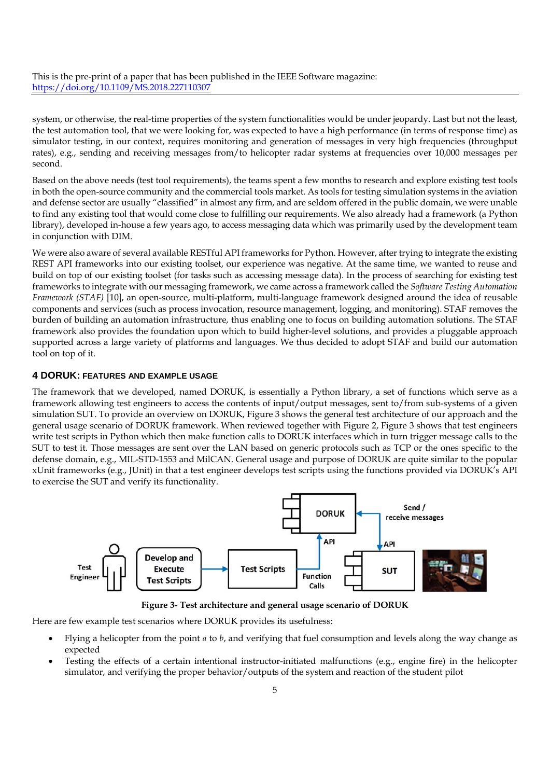system, or otherwise, the real-time properties of the system functionalities would be under jeopardy. Last but not the least, the test automation tool, that we were looking for, was expected to have a high performance (in terms of response time) as simulator testing, in our context, requires monitoring and generation of messages in very high frequencies (throughput rates), e.g., sending and receiving messages from/to helicopter radar systems at frequencies over 10,000 messages per second.

Based on the above needs (test tool requirements), the teams spent a few months to research and explore existing test tools in both the open-source community and the commercial tools market. As tools for testing simulation systems in the aviation and defense sector are usually "classified" in almost any firm, and are seldom offered in the public domain, we were unable to find any existing tool that would come close to fulfilling our requirements. We also already had a framework (a Python library), developed in-house a few years ago, to access messaging data which was primarily used by the development team in conjunction with DIM.

We were also aware of several available RESTful API frameworks for Python. However, after trying to integrate the existing REST API frameworks into our existing toolset, our experience was negative. At the same time, we wanted to reuse and build on top of our existing toolset (for tasks such as accessing message data). In the process of searching for existing test frameworks to integrate with our messaging framework, we came across a framework called the *Software Testing Automation Framework (STAF)* [10], an open-source, multi-platform, multi-language framework designed around the idea of reusable components and services (such as process invocation, resource management, logging, and monitoring). STAF removes the burden of building an automation infrastructure, thus enabling one to focus on building automation solutions. The STAF framework also provides the foundation upon which to build higher-level solutions, and provides a pluggable approach supported across a large variety of platforms and languages. We thus decided to adopt STAF and build our automation tool on top of it.

#### **4 DORUK: FEATURES AND EXAMPLE USAGE**

The framework that we developed, named DORUK, is essentially a Python library, a set of functions which serve as a framework allowing test engineers to access the contents of input/output messages, sent to/from sub-systems of a given simulation SUT. To provide an overview on DORUK, Figure 3 shows the general test architecture of our approach and the general usage scenario of DORUK framework. When reviewed together with Figure 2, Figure 3 shows that test engineers write test scripts in Python which then make function calls to DORUK interfaces which in turn trigger message calls to the SUT to test it. Those messages are sent over the LAN based on generic protocols such as TCP or the ones specific to the defense domain, e.g., MIL-STD-1553 and MilCAN. General usage and purpose of DORUK are quite similar to the popular xUnit frameworks (e.g., JUnit) in that a test engineer develops test scripts using the functions provided via DORUK's API to exercise the SUT and verify its functionality.



**Figure 3- Test architecture and general usage scenario of DORUK** 

Here are few example test scenarios where DORUK provides its usefulness:

- Flying a helicopter from the point *a* to *b*, and verifying that fuel consumption and levels along the way change as expected
- Testing the effects of a certain intentional instructor-initiated malfunctions (e.g., engine fire) in the helicopter simulator, and verifying the proper behavior/outputs of the system and reaction of the student pilot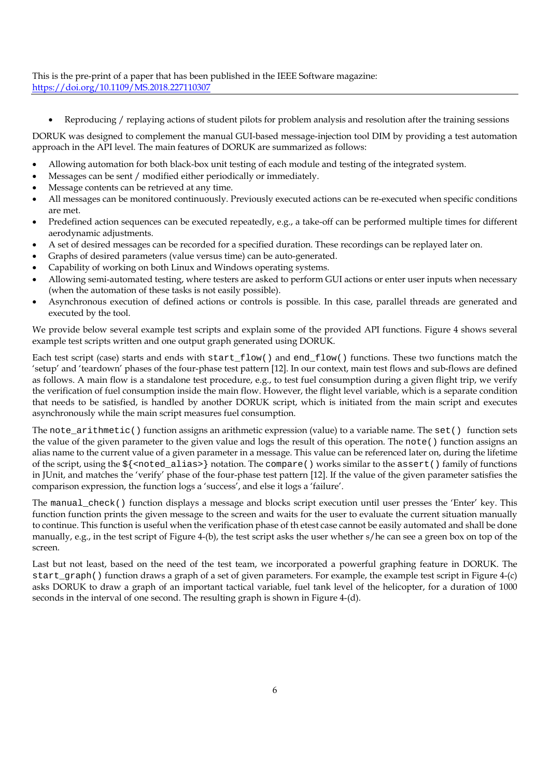Reproducing / replaying actions of student pilots for problem analysis and resolution after the training sessions

DORUK was designed to complement the manual GUI-based message-injection tool DIM by providing a test automation approach in the API level. The main features of DORUK are summarized as follows:

- Allowing automation for both black-box unit testing of each module and testing of the integrated system.
- Messages can be sent / modified either periodically or immediately.
- Message contents can be retrieved at any time.
- All messages can be monitored continuously. Previously executed actions can be re-executed when specific conditions are met.
- Predefined action sequences can be executed repeatedly, e.g., a take-off can be performed multiple times for different aerodynamic adjustments.
- A set of desired messages can be recorded for a specified duration. These recordings can be replayed later on.
- Graphs of desired parameters (value versus time) can be auto-generated.
- Capability of working on both Linux and Windows operating systems.
- Allowing semi-automated testing, where testers are asked to perform GUI actions or enter user inputs when necessary (when the automation of these tasks is not easily possible).
- Asynchronous execution of defined actions or controls is possible. In this case, parallel threads are generated and executed by the tool.

We provide below several example test scripts and explain some of the provided API functions. Figure 4 shows several example test scripts written and one output graph generated using DORUK.

Each test script (case) starts and ends with start\_flow() and end\_flow() functions. These two functions match the 'setup' and 'teardown' phases of the four-phase test pattern [12]. In our context, main test flows and sub-flows are defined as follows. A main flow is a standalone test procedure, e.g., to test fuel consumption during a given flight trip, we verify the verification of fuel consumption inside the main flow. However, the flight level variable, which is a separate condition that needs to be satisfied, is handled by another DORUK script, which is initiated from the main script and executes asynchronously while the main script measures fuel consumption.

The note  $arithmetic()$  function assigns an arithmetic expression (value) to a variable name. The set() function sets the value of the given parameter to the given value and logs the result of this operation. The note() function assigns an alias name to the current value of a given parameter in a message. This value can be referenced later on, during the lifetime of the script, using the \${<noted\_alias>} notation. The compare() works similar to the assert() family of functions in JUnit, and matches the 'verify' phase of the four-phase test pattern [12]. If the value of the given parameter satisfies the comparison expression, the function logs a 'success', and else it logs a 'failure'.

The manual check() function displays a message and blocks script execution until user presses the 'Enter' key. This function function prints the given message to the screen and waits for the user to evaluate the current situation manually to continue. This function is useful when the verification phase of th etest case cannot be easily automated and shall be done manually, e.g., in the test script of Figure 4-(b), the test script asks the user whether s/he can see a green box on top of the screen.

Last but not least, based on the need of the test team, we incorporated a powerful graphing feature in DORUK. The start\_graph() function draws a graph of a set of given parameters. For example, the example test script in Figure 4-(c) asks DORUK to draw a graph of an important tactical variable, fuel tank level of the helicopter, for a duration of 1000 seconds in the interval of one second. The resulting graph is shown in Figure 4-(d).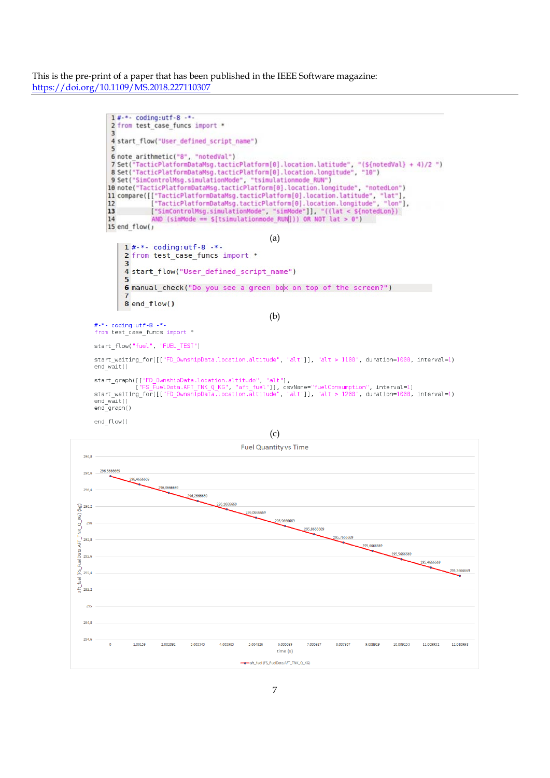

start\_waiting\_for([["FD\_OwnshipData.location.altitude", "alt"]], "alt > 1100", duration=1000, interval=1) end  $w\bar{a}it()$ 

```
start_graph([["FD_OwnshipData.location.altitude", "alt"],<br>["FS_FuelData.AFT_TNK_Q_KG", "aft_fuel"]], csvName="fuelConsumption", interval=1)<br>start_waiting_for([["FD_OwnshipData.location.altitude", "alt"]], "alt > 1200", dur
end_wait()<br>end_graph()
```
end flow()

(c)

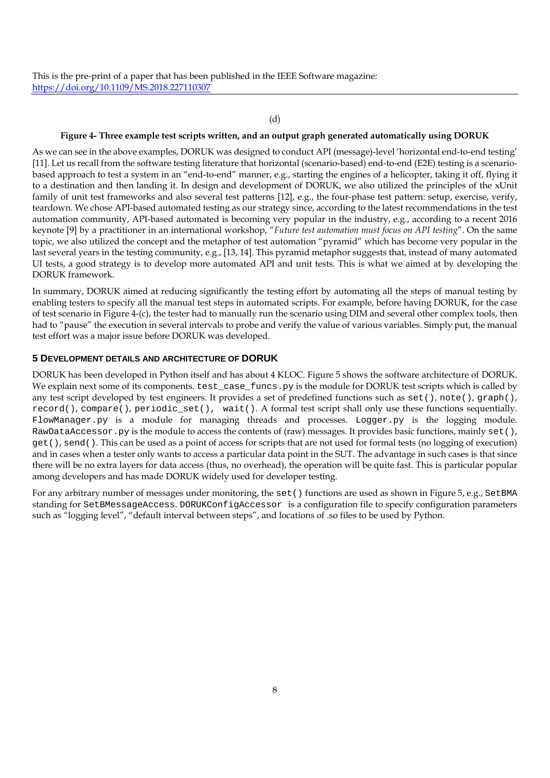### (d)

# **Figure 4- Three example test scripts written, and an output graph generated automatically using DORUK**

As we can see in the above examples, DORUK was designed to conduct API (message)-level 'horizontal end-to-end testing' [11]. Let us recall from the software testing literature that horizontal (scenario-based) end-to-end (E2E) testing is a scenariobased approach to test a system in an "end-to-end" manner, e.g., starting the engines of a helicopter, taking it off, flying it to a destination and then landing it. In design and development of DORUK, we also utilized the principles of the xUnit family of unit test frameworks and also several test patterns [12], e.g., the four-phase test pattern: setup, exercise, verify, teardown. We chose API-based automated testing as our strategy since, according to the latest recommendations in the test automation community, API-based automated is becoming very popular in the industry, e.g., according to a recent 2016 keynote [9] by a practitioner in an international workshop, "*Future test automation must focus on API testing*". On the same topic, we also utilized the concept and the metaphor of test automation "pyramid" which has become very popular in the last several years in the testing community, e.g., [13, 14]. This pyramid metaphor suggests that, instead of many automated UI tests, a good strategy is to develop more automated API and unit tests. This is what we aimed at by developing the DORUK framework.

In summary, DORUK aimed at reducing significantly the testing effort by automating all the steps of manual testing by enabling testers to specify all the manual test steps in automated scripts. For example, before having DORUK, for the case of test scenario in Figure 4-(c), the tester had to manually run the scenario using DIM and several other complex tools, then had to "pause" the execution in several intervals to probe and verify the value of various variables. Simply put, the manual test effort was a major issue before DORUK was developed.

# **5 DEVELOPMENT DETAILS AND ARCHITECTURE OF DORUK**

DORUK has been developed in Python itself and has about 4 KLOC. Figure 5 shows the software architecture of DORUK. We explain next some of its components. test\_case\_funcs.py is the module for DORUK test scripts which is called by any test script developed by test engineers. It provides a set of predefined functions such as set(), note(), graph(), record(), compare(), periodic\_set(), wait(). A formal test script shall only use these functions sequentially. FlowManager.py is a module for managing threads and processes. Logger.py is the logging module. RawDataAccessor.py is the module to access the contents of (raw) messages. It provides basic functions, mainly set(), get(), send(). This can be used as a point of access for scripts that are not used for formal tests (no logging of execution) and in cases when a tester only wants to access a particular data point in the SUT. The advantage in such cases is that since there will be no extra layers for data access (thus, no overhead), the operation will be quite fast. This is particular popular among developers and has made DORUK widely used for developer testing.

For any arbitrary number of messages under monitoring, the set() functions are used as shown in Figure 5, e.g., SetBMA standing for SetBMessageAccess. DORUKConfigAccessor is a configuration file to specify configuration parameters such as "logging level", "default interval between steps", and locations of .so files to be used by Python.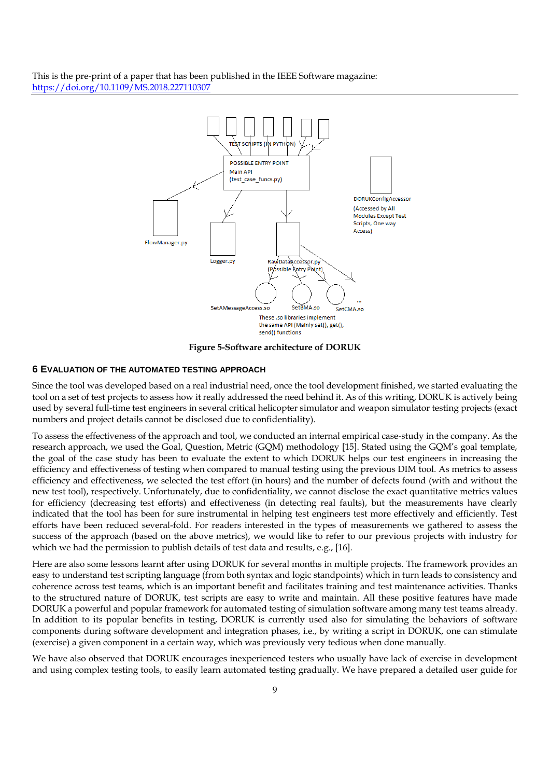

**Figure 5-Software architecture of DORUK** 

#### **6 EVALUATION OF THE AUTOMATED TESTING APPROACH**

Since the tool was developed based on a real industrial need, once the tool development finished, we started evaluating the tool on a set of test projects to assess how it really addressed the need behind it. As of this writing, DORUK is actively being used by several full-time test engineers in several critical helicopter simulator and weapon simulator testing projects (exact numbers and project details cannot be disclosed due to confidentiality).

To assess the effectiveness of the approach and tool, we conducted an internal empirical case-study in the company. As the research approach, we used the Goal, Question, Metric (GQM) methodology [15]. Stated using the GQM's goal template, the goal of the case study has been to evaluate the extent to which DORUK helps our test engineers in increasing the efficiency and effectiveness of testing when compared to manual testing using the previous DIM tool. As metrics to assess efficiency and effectiveness, we selected the test effort (in hours) and the number of defects found (with and without the new test tool), respectively. Unfortunately, due to confidentiality, we cannot disclose the exact quantitative metrics values for efficiency (decreasing test efforts) and effectiveness (in detecting real faults), but the measurements have clearly indicated that the tool has been for sure instrumental in helping test engineers test more effectively and efficiently. Test efforts have been reduced several-fold. For readers interested in the types of measurements we gathered to assess the success of the approach (based on the above metrics), we would like to refer to our previous projects with industry for which we had the permission to publish details of test data and results, e.g., [16].

Here are also some lessons learnt after using DORUK for several months in multiple projects. The framework provides an easy to understand test scripting language (from both syntax and logic standpoints) which in turn leads to consistency and coherence across test teams, which is an important benefit and facilitates training and test maintenance activities. Thanks to the structured nature of DORUK, test scripts are easy to write and maintain. All these positive features have made DORUK a powerful and popular framework for automated testing of simulation software among many test teams already. In addition to its popular benefits in testing, DORUK is currently used also for simulating the behaviors of software components during software development and integration phases, i.e., by writing a script in DORUK, one can stimulate (exercise) a given component in a certain way, which was previously very tedious when done manually.

We have also observed that DORUK encourages inexperienced testers who usually have lack of exercise in development and using complex testing tools, to easily learn automated testing gradually. We have prepared a detailed user guide for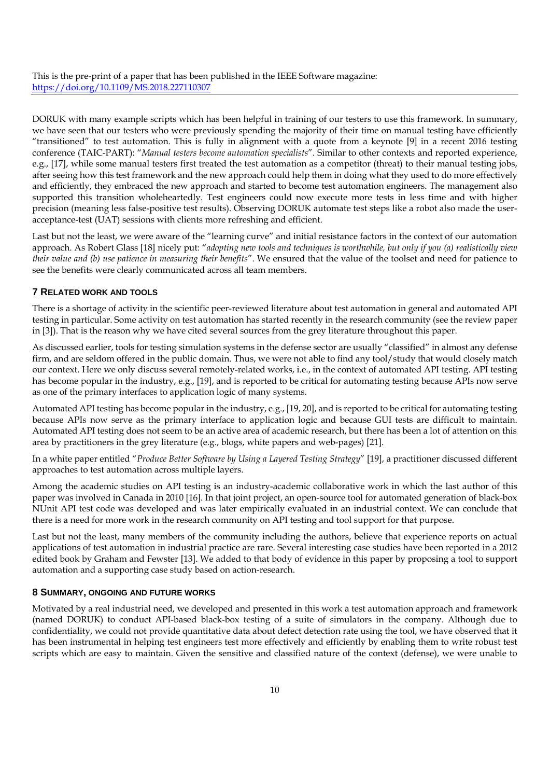DORUK with many example scripts which has been helpful in training of our testers to use this framework. In summary, we have seen that our testers who were previously spending the majority of their time on manual testing have efficiently "transitioned" to test automation. This is fully in alignment with a quote from a keynote [9] in a recent 2016 testing conference (TAIC-PART): "*Manual testers become automation specialists*". Similar to other contexts and reported experience, e.g., [17], while some manual testers first treated the test automation as a competitor (threat) to their manual testing jobs, after seeing how this test framework and the new approach could help them in doing what they used to do more effectively and efficiently, they embraced the new approach and started to become test automation engineers. The management also supported this transition wholeheartedly. Test engineers could now execute more tests in less time and with higher precision (meaning less false-positive test results). Observing DORUK automate test steps like a robot also made the useracceptance-test (UAT) sessions with clients more refreshing and efficient.

Last but not the least, we were aware of the "learning curve" and initial resistance factors in the context of our automation approach. As Robert Glass [18] nicely put: "*adopting new tools and techniques is worthwhile, but only if you (a) realistically view their value and (b) use patience in measuring their benefits*". We ensured that the value of the toolset and need for patience to see the benefits were clearly communicated across all team members.

# **7 RELATED WORK AND TOOLS**

There is a shortage of activity in the scientific peer-reviewed literature about test automation in general and automated API testing in particular. Some activity on test automation has started recently in the research community (see the review paper in [3]). That is the reason why we have cited several sources from the grey literature throughout this paper.

As discussed earlier, tools for testing simulation systems in the defense sector are usually "classified" in almost any defense firm, and are seldom offered in the public domain. Thus, we were not able to find any tool/study that would closely match our context. Here we only discuss several remotely-related works, i.e., in the context of automated API testing. API testing has become popular in the industry, e.g., [19], and is reported to be critical for automating testing because APIs now serve as one of the primary interfaces to application logic of many systems.

Automated API testing has become popular in the industry, e.g., [19, 20], and is reported to be critical for automating testing because APIs now serve as the primary interface to application logic and because GUI tests are difficult to maintain. Automated API testing does not seem to be an active area of academic research, but there has been a lot of attention on this area by practitioners in the grey literature (e.g., blogs, white papers and web-pages) [21].

In a white paper entitled "*Produce Better Software by Using a Layered Testing Strategy*" [19], a practitioner discussed different approaches to test automation across multiple layers.

Among the academic studies on API testing is an industry-academic collaborative work in which the last author of this paper was involved in Canada in 2010 [16]. In that joint project, an open-source tool for automated generation of black-box NUnit API test code was developed and was later empirically evaluated in an industrial context. We can conclude that there is a need for more work in the research community on API testing and tool support for that purpose.

Last but not the least, many members of the community including the authors, believe that experience reports on actual applications of test automation in industrial practice are rare. Several interesting case studies have been reported in a 2012 edited book by Graham and Fewster [13]. We added to that body of evidence in this paper by proposing a tool to support automation and a supporting case study based on action-research.

### **8 SUMMARY, ONGOING AND FUTURE WORKS**

Motivated by a real industrial need, we developed and presented in this work a test automation approach and framework (named DORUK) to conduct API-based black-box testing of a suite of simulators in the company. Although due to confidentiality, we could not provide quantitative data about defect detection rate using the tool, we have observed that it has been instrumental in helping test engineers test more effectively and efficiently by enabling them to write robust test scripts which are easy to maintain. Given the sensitive and classified nature of the context (defense), we were unable to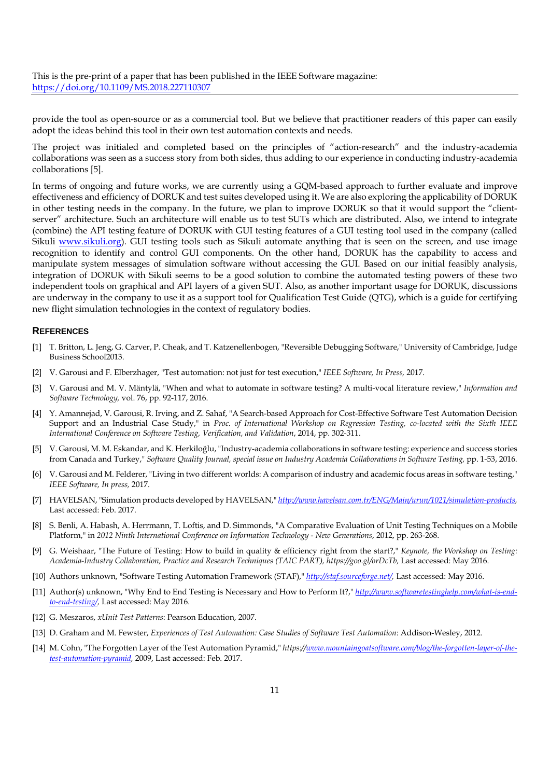provide the tool as open-source or as a commercial tool. But we believe that practitioner readers of this paper can easily adopt the ideas behind this tool in their own test automation contexts and needs.

The project was initialed and completed based on the principles of "action-research" and the industry-academia collaborations was seen as a success story from both sides, thus adding to our experience in conducting industry-academia collaborations [5].

In terms of ongoing and future works, we are currently using a GQM-based approach to further evaluate and improve effectiveness and efficiency of DORUK and test suites developed using it. We are also exploring the applicability of DORUK in other testing needs in the company. In the future, we plan to improve DORUK so that it would support the "clientserver" architecture. Such an architecture will enable us to test SUTs which are distributed. Also, we intend to integrate (combine) the API testing feature of DORUK with GUI testing features of a GUI testing tool used in the company (called Sikuli www.sikuli.org). GUI testing tools such as Sikuli automate anything that is seen on the screen, and use image recognition to identify and control GUI components. On the other hand, DORUK has the capability to access and manipulate system messages of simulation software without accessing the GUI. Based on our initial feasibly analysis, integration of DORUK with Sikuli seems to be a good solution to combine the automated testing powers of these two independent tools on graphical and API layers of a given SUT. Also, as another important usage for DORUK, discussions are underway in the company to use it as a support tool for Qualification Test Guide (QTG), which is a guide for certifying new flight simulation technologies in the context of regulatory bodies.

#### **REFERENCES**

- [1] T. Britton, L. Jeng, G. Carver, P. Cheak, and T. Katzenellenbogen, "Reversible Debugging Software," University of Cambridge, Judge Business School2013.
- [2] V. Garousi and F. Elberzhager, "Test automation: not just for test execution," *IEEE Software, In Press,* 2017.
- [3] V. Garousi and M. V. Mäntylä, "When and what to automate in software testing? A multi-vocal literature review," *Information and Software Technology,* vol. 76, pp. 92-117, 2016.
- [4] Y. Amannejad, V. Garousi, R. Irving, and Z. Sahaf, "A Search-based Approach for Cost-Effective Software Test Automation Decision Support and an Industrial Case Study," in *Proc. of International Workshop on Regression Testing, co-located with the Sixth IEEE International Conference on Software Testing, Verification, and Validation*, 2014, pp. 302-311.
- [5] V. Garousi, M. M. Eskandar, and K. Herkiloğlu, "Industry-academia collaborations in software testing: experience and success stories from Canada and Turkey," Software Quality Journal, special issue on Industry Academia Collaborations in Software Testing, pp. 1-53, 2016.
- [6] V. Garousi and M. Felderer, "Living in two different worlds: A comparison of industry and academic focus areas in software testing," *IEEE Software, In press,* 2017.
- [7] HAVELSAN, "Simulation products developed by HAVELSAN," *http://www.havelsan.com.tr/ENG/Main/urun/1021/simulation-products,*  Last accessed: Feb. 2017.
- [8] S. Benli, A. Habash, A. Herrmann, T. Loftis, and D. Simmonds, "A Comparative Evaluation of Unit Testing Techniques on a Mobile Platform," in *2012 Ninth International Conference on Information Technology - New Generations*, 2012, pp. 263-268.
- [9] G. Weishaar, "The Future of Testing: How to build in quality & efficiency right from the start?," *Keynote, the Workshop on Testing: Academia-Industry Collaboration, Practice and Research Techniques (TAIC PART), https://goo.gl/orDcTb,* Last accessed: May 2016.
- [10] Authors unknown, "Software Testing Automation Framework (STAF)," *http://staf.sourceforge.net/,* Last accessed: May 2016.
- [11] Author(s) unknown, "Why End to End Testing is Necessary and How to Perform It?," *http://www.softwaretestinghelp.com/what-is-endto-end-testing/,* Last accessed: May 2016.
- [12] G. Meszaros, *xUnit Test Patterns*: Pearson Education, 2007.
- [13] D. Graham and M. Fewster, *Experiences of Test Automation: Case Studies of Software Test Automation*: Addison-Wesley, 2012.
- [14] M. Cohn, "The Forgotten Layer of the Test Automation Pyramid," https://www.mountaingoatsoftware.com/blog/the-forgotten-layer-of-the*test-automation-pyramid,* 2009, Last accessed: Feb. 2017.